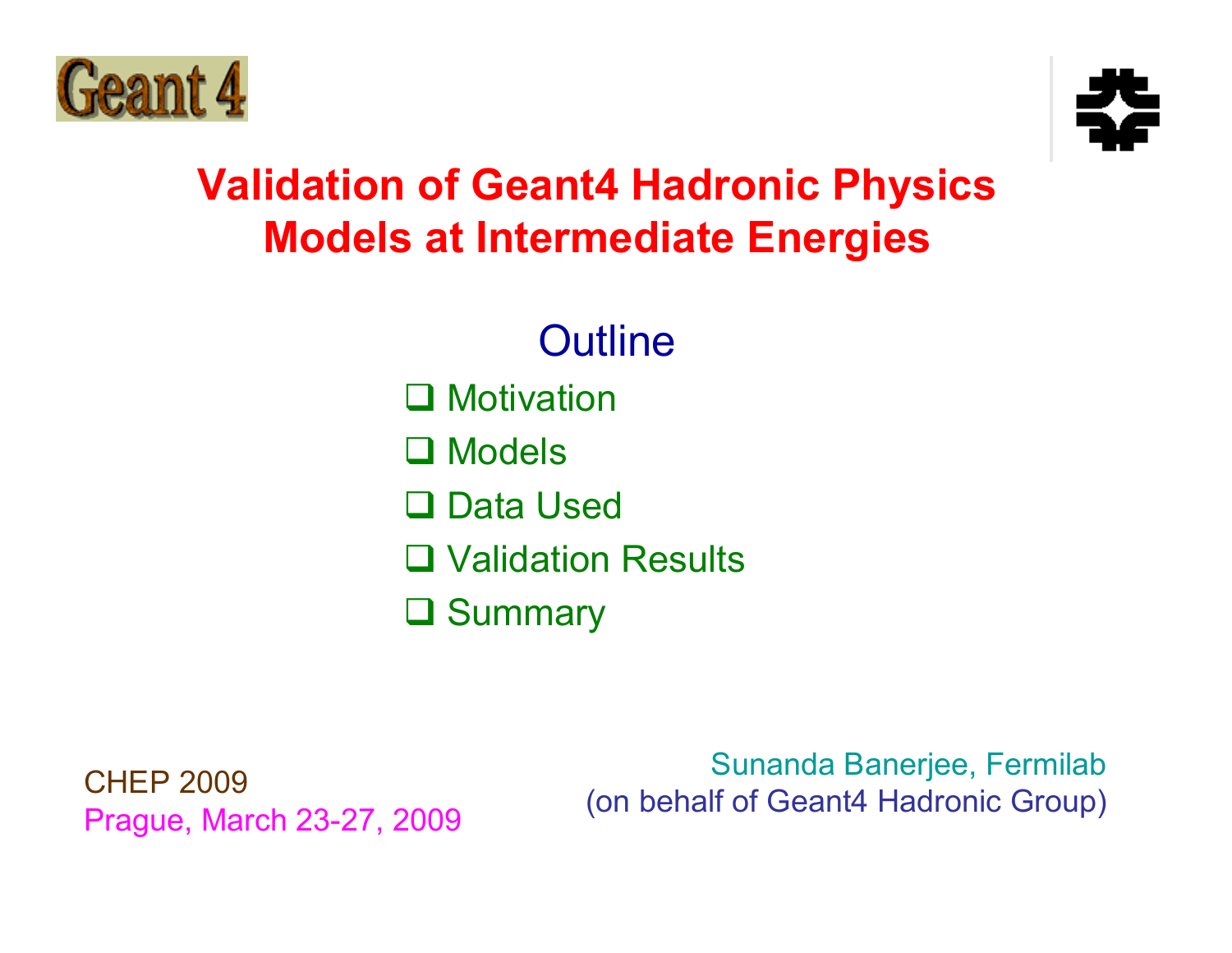



#### **Validation of Geant4 Hadronic Physics Models at Intermediate Energies**

**Outline** 

**Q** Motivation

**□** Models

**□ Data Used** 

**□ Validation Results** 

**Q** Summary

CHEP 2009 Prague, March 23-27, 2009

Sunanda Banerjee, Fermilab (on behalf of Geant4 Hadronic Group)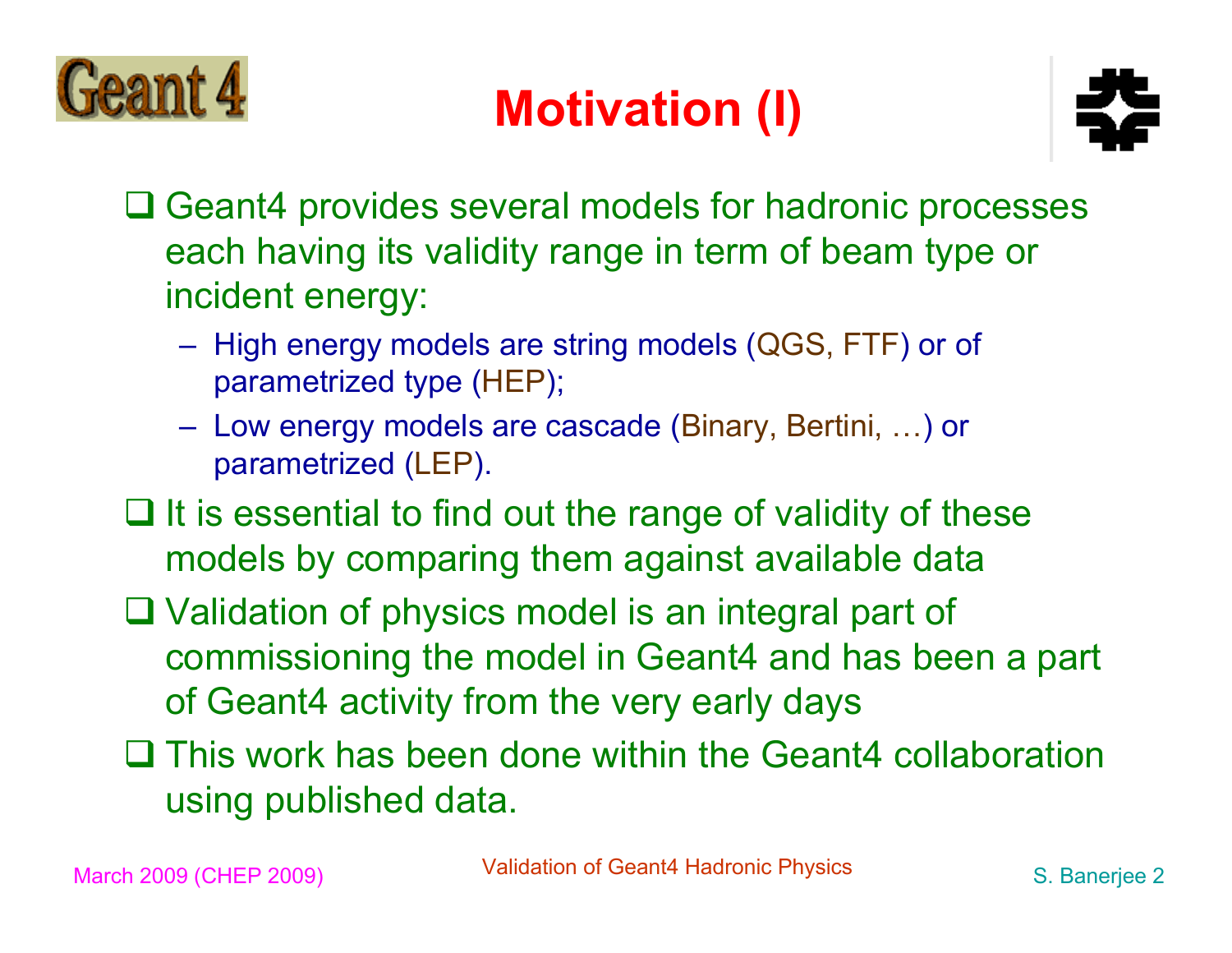

### **Motivation (I)**



- **□ Geant4 provides several models for hadronic processes** each having its validity range in term of beam type or incident energy:
	- High energy models are string models (QGS, FTF) or of parametrized type (HEP);
	- Low energy models are cascade (Binary, Bertini, …) or parametrized (LEP).
- $\Box$  It is essential to find out the range of validity of these models by comparing them against available data
- □ Validation of physics model is an integral part of commissioning the model in Geant4 and has been a part of Geant4 activity from the very early days
- This work has been done within the Geant4 collaboration using published data.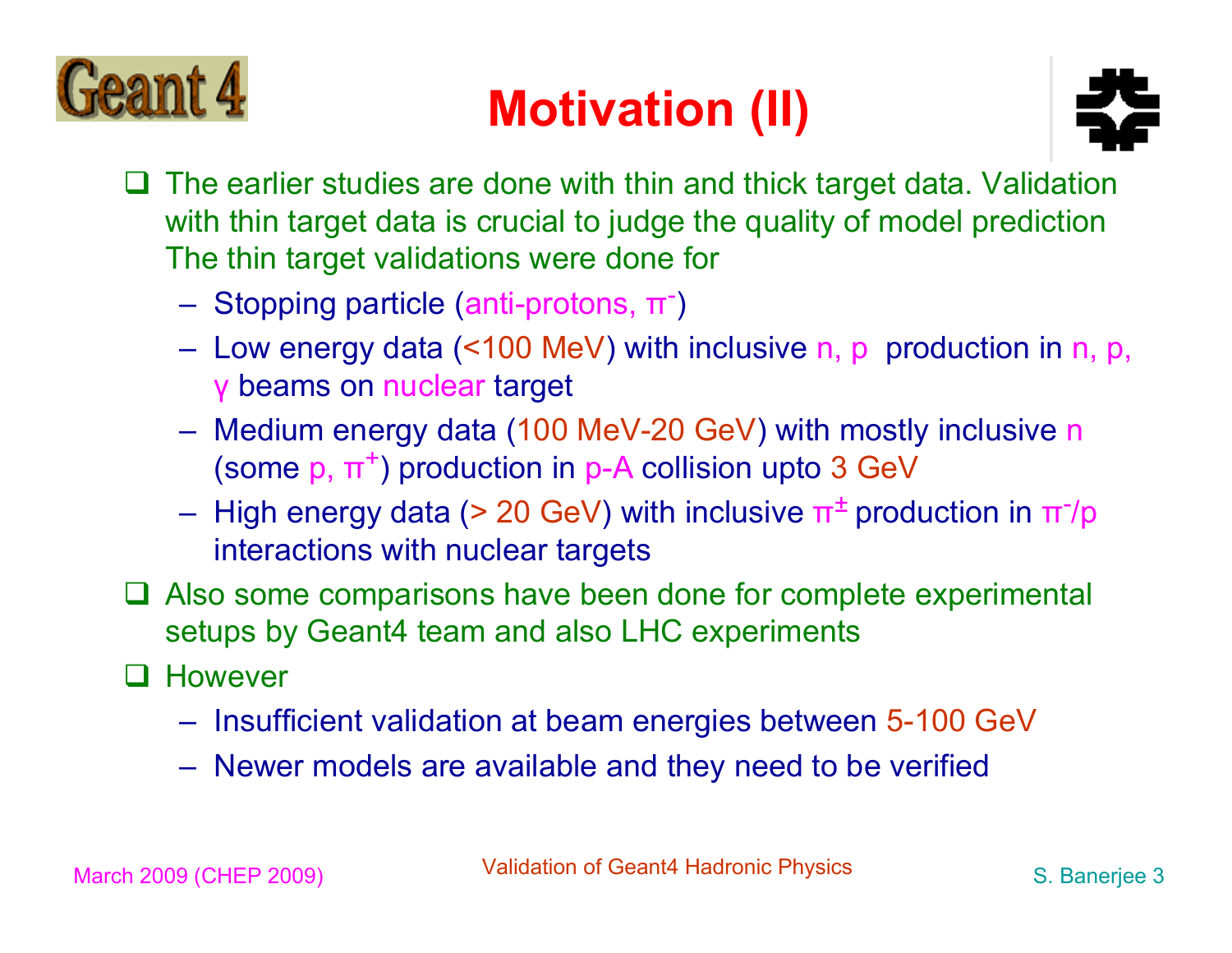

### **Motivation (II)**



- $\Box$  The earlier studies are done with thin and thick target data. Validation with thin target data is crucial to judge the quality of model prediction The thin target validations were done for
	- Stopping particle (anti-protons,  $\pi$ )
	- Low energy data (<100 MeV) with inclusive n, p production in n, p, γ beams on nuclear target
	- Medium energy data (100 MeV-20 GeV) with mostly inclusive n (some  $p, \pi^+$ ) production in p-A collision upto 3 GeV
	- High energy data (> 20 GeV) with inclusive  $\pi^{\pm}$  production in  $\pi$ <sup>-</sup>/p interactions with nuclear targets
- □ Also some comparisons have been done for complete experimental setups by Geant4 team and also LHC experiments
- **Q** However
	- Insufficient validation at beam energies between 5-100 GeV
	- Newer models are available and they need to be verified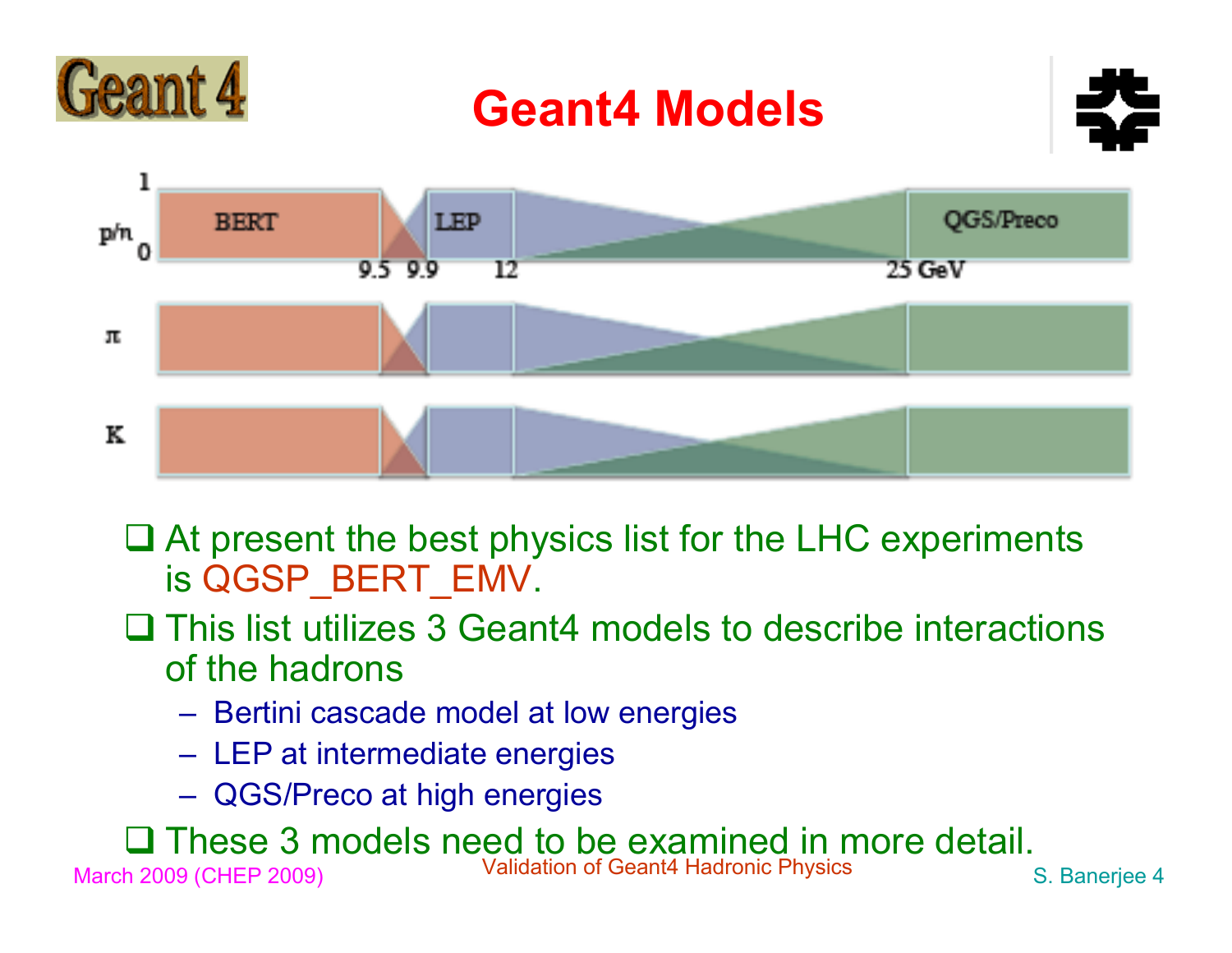

#### **Geant4 Models**





- At present the best physics list for the LHC experiments is QGSP\_BERT\_EMV.
- **□ This list utilizes 3 Geant4 models to describe interactions** of the hadrons
	- Bertini cascade model at low energies
	- LEP at intermediate energies
	- QGS/Preco at high energies

March 2009 (CHEP 2009) Validation of Geant4 Hadronic Physics S. Banerjee 4 These 3 models need to be examined in more detail.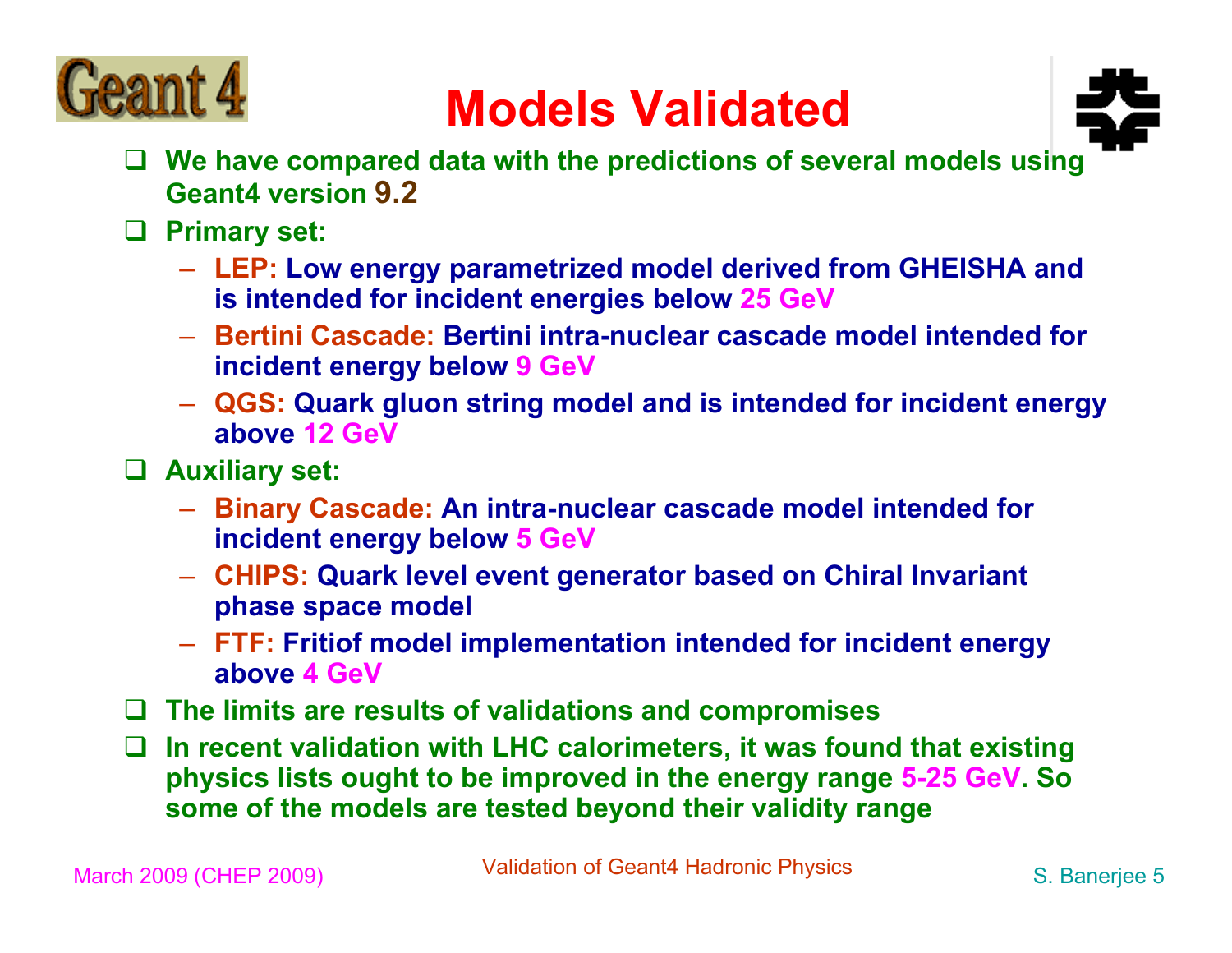

#### **Models Validated**



- **We have compared data with the predictions of several models using Geant4 version 9.2**
- **Primary set:**
	- **LEP: Low energy parametrized model derived from GHEISHA and is intended for incident energies below 25 GeV**
	- **Bertini Cascade: Bertini intra-nuclear cascade model intended for incident energy below 9 GeV**
	- **QGS: Quark gluon string model and is intended for incident energy above 12 GeV**
- **Auxiliary set:**
	- **Binary Cascade: An intra-nuclear cascade model intended for incident energy below 5 GeV**
	- **CHIPS: Quark level event generator based on Chiral Invariant phase space model**
	- **FTF: Fritiof model implementation intended for incident energy above 4 GeV**
- **The limits are results of validations and compromises**
- **In recent validation with LHC calorimeters, it was found that existing physics lists ought to be improved in the energy range 5-25 GeV. So some of the models are tested beyond their validity range**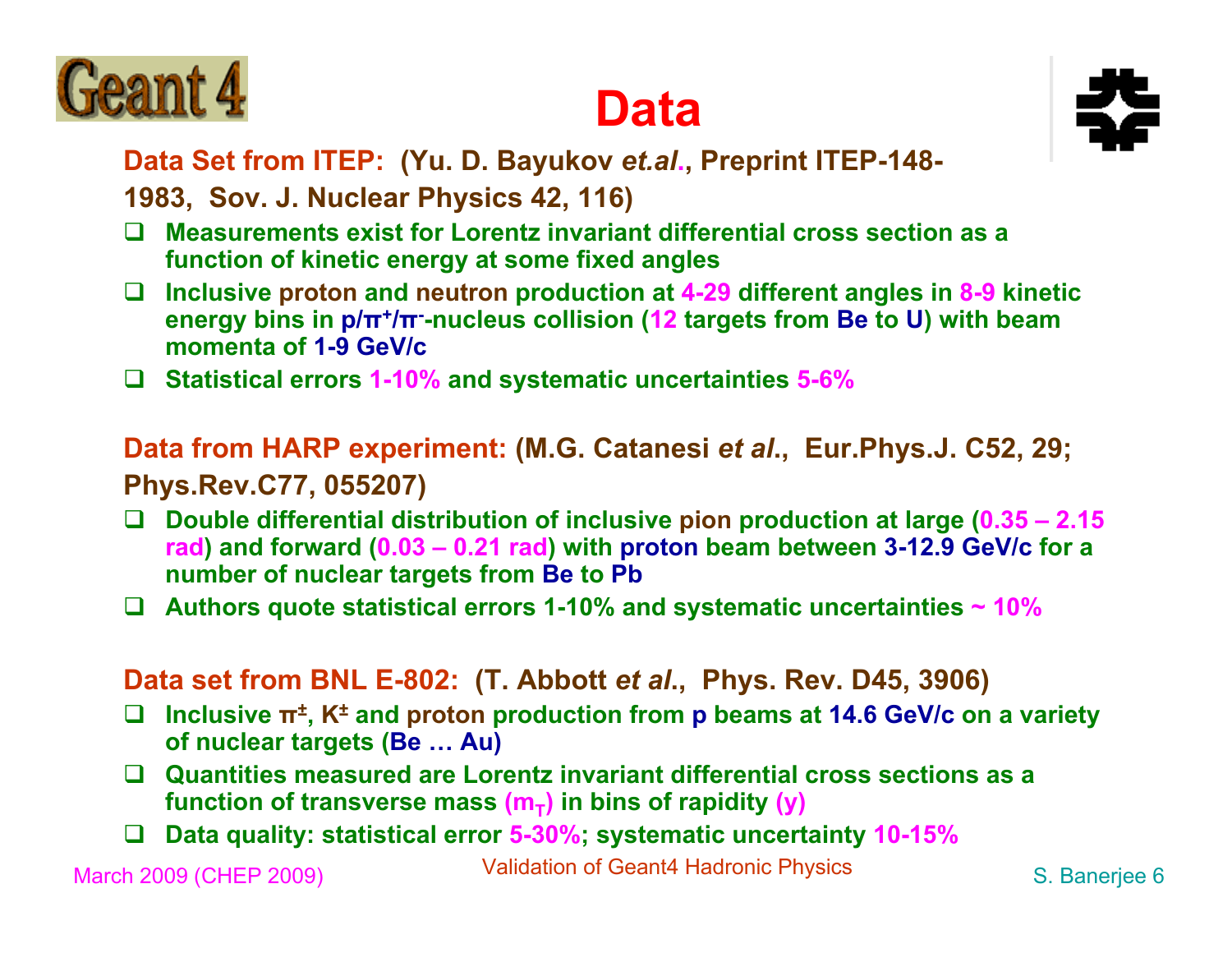





**Data Set from ITEP: (Yu. D. Bayukov** *et.al***., Preprint ITEP-148-**

**1983, Sov. J. Nuclear Physics 42, 116)**

- $\Box$  **Measurements exist for Lorentz invariant differential cross section as a function of kinetic energy at some fixed angles**
- $\Box$  **Inclusive proton and neutron production at 4-29 different angles in 8-9 kinetic energy bins in p/π+/π--nucleus collision (12 targets from Be to U) with beam momenta of 1-9 GeV/c**
- **Statistical errors 1-10% and systematic uncertainties 5-6%**

**Data from HARP experiment: (M.G. Catanesi** *et al***., Eur.Phys.J. C52, 29; Phys.Rev.C77, 055207)**

- $\Box$  **Double differential distribution of inclusive pion production at large (0.35 – 2.15 rad) and forward (0.03 – 0.21 rad) with proton beam between 3-12.9 GeV/c for a number of nuclear targets from Be to Pb**
- $\Box$ **Authors quote statistical errors 1-10% and systematic uncertainties ~ 10%**

**Data set from BNL E-802: (T. Abbott** *et al***., Phys. Rev. D45, 3906)**

- $\Box$  **Inclusive π±, K± and proton production from p beams at 14.6 GeV/c on a variety of nuclear targets (Be … Au)**
- **Quantities measured are Lorentz invariant differential cross sections as a function of transverse mass**  $(m<sub>T</sub>)$  **in bins of rapidity (y)**
- $\Box$ **Data quality: statistical error 5-30%; systematic uncertainty 10-15%**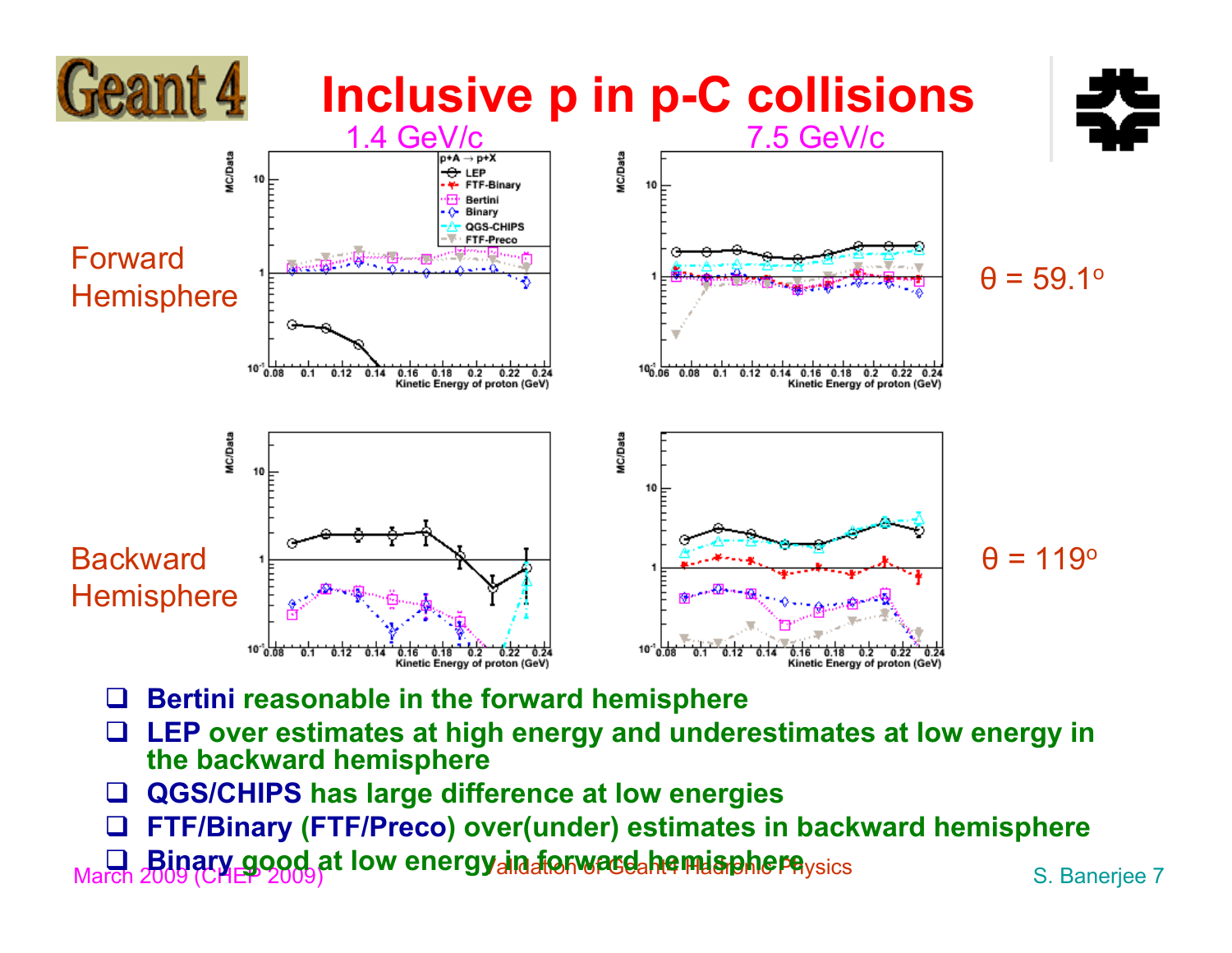

- $\Box$ **Bertini reasonable in the forward hemisphere**
- $\Box$  **LEP over estimates at high energy and underestimates at low energy in the backward hemisphere**
- $\Box$ **QGS/CHIPS has large difference at low energies**
- $\Box$ **FTF/Binary (FTF/Preco) over(under) estimates in backward hemisphere**

**D. Binary good at low energy in forward hemisphere**ysics S. Banerjee 7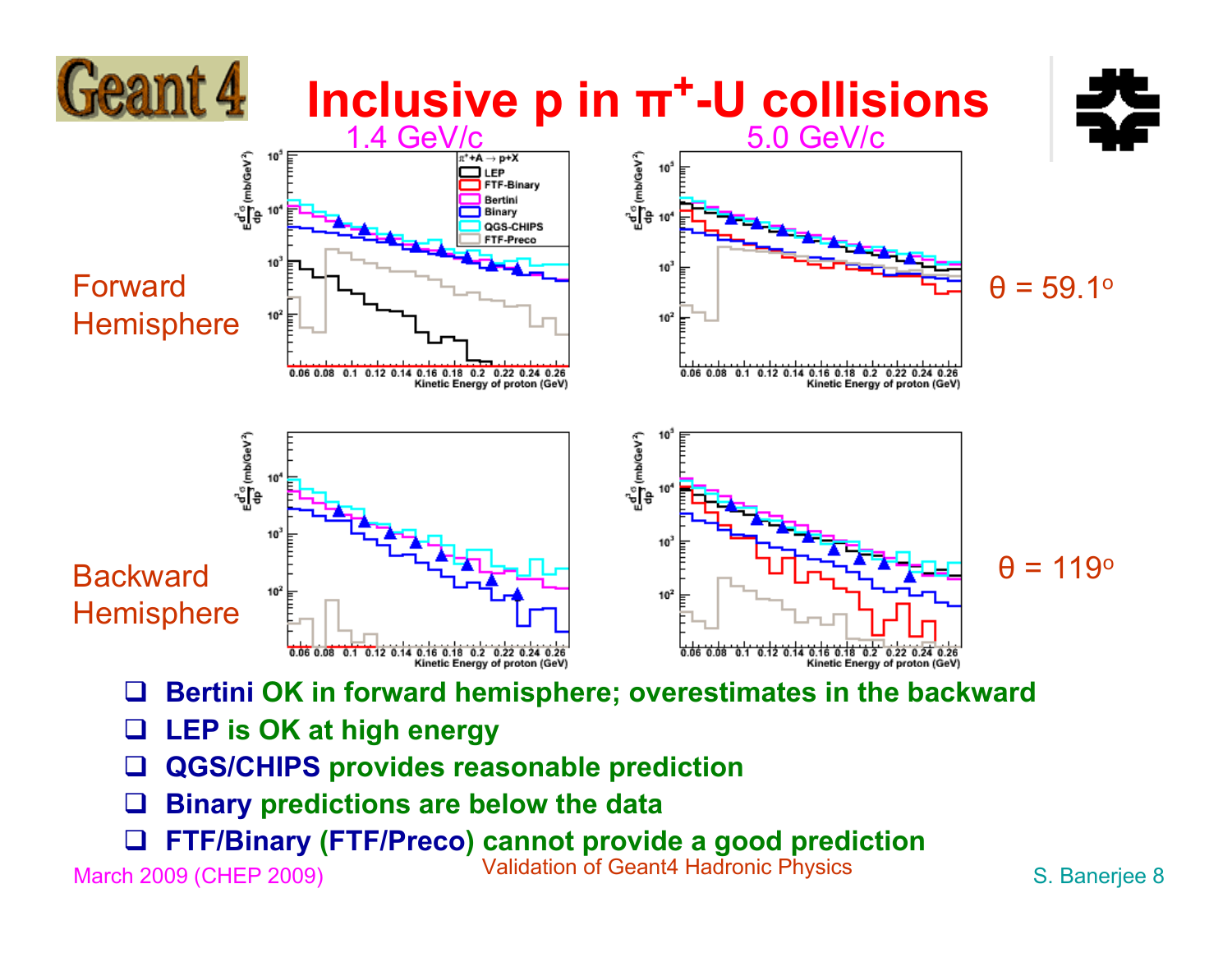

- $\Box$ **Binary predictions are below the data**
- $\Box$ **FTF/Binary (FTF/Preco) cannot provide a good prediction**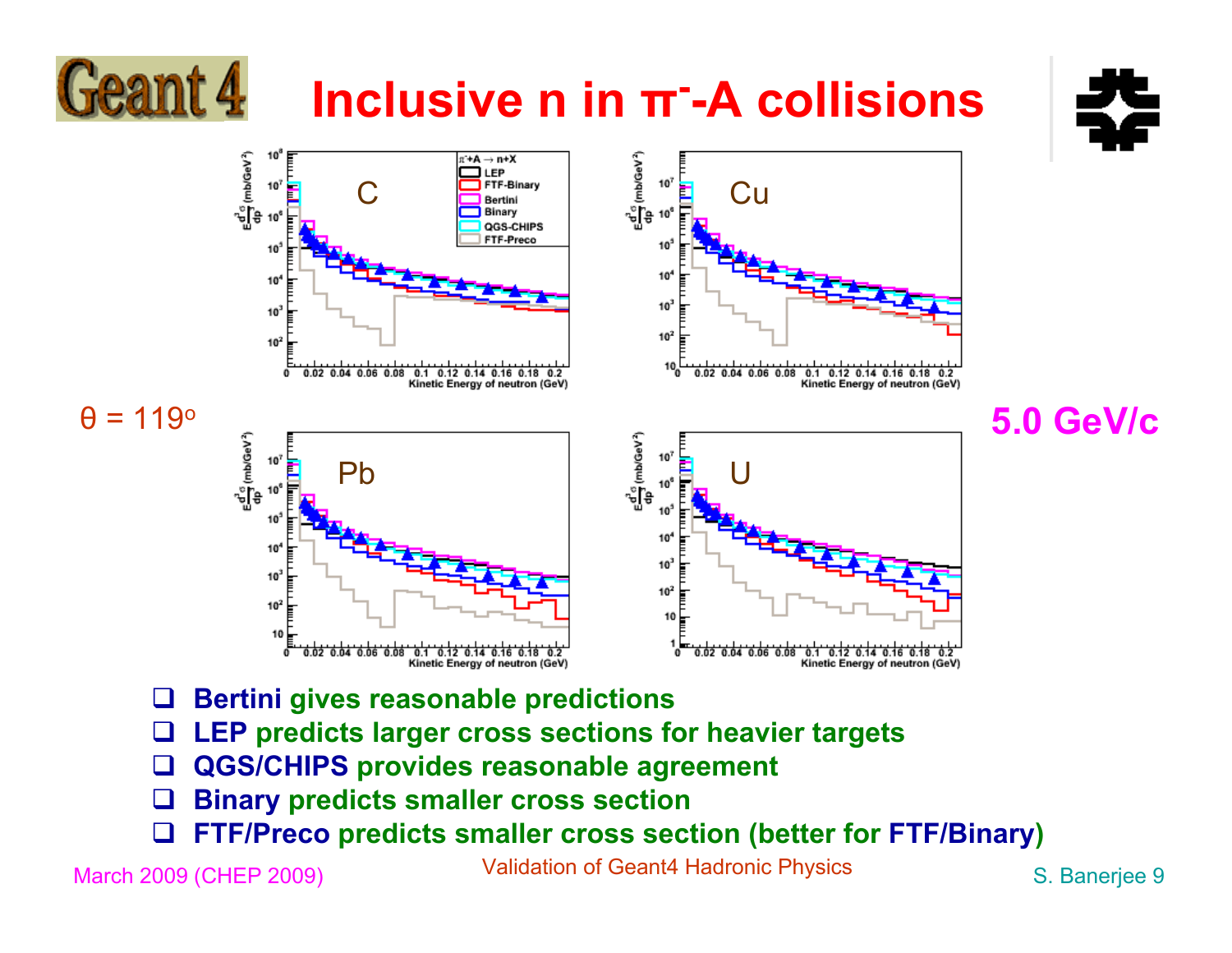### **Inclusive n in π--A collisions**



**5.0 GeV/c**



- $\Box$ **Bertini gives reasonable predictions**
- $\Box$ **LEP predicts larger cross sections for heavier targets**
- $\Box$ **QGS/CHIPS provides reasonable agreement**
- $\Box$ **Binary predicts smaller cross section**
- $\Box$ **FTF/Preco predicts smaller cross section (better for FTF/Binary)**

Geant 4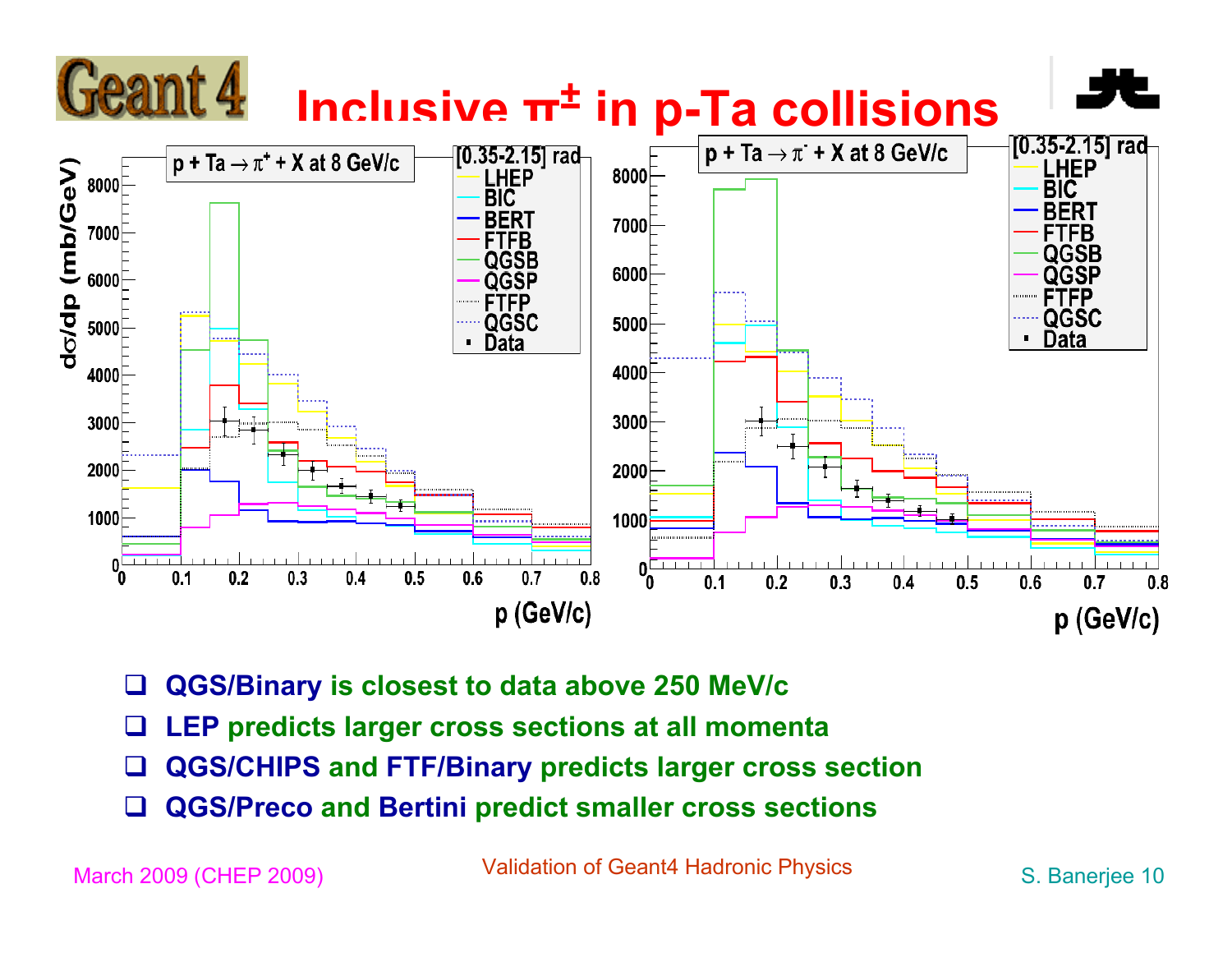

- $\Box$ **QGS/Binary is closest to data above 250 MeV/c**
- $\Box$ **LEP predicts larger cross sections at all momenta**
- $\Box$ **QGS/CHIPS and FTF/Binary predicts larger cross section**
- $\Box$ **QGS/Preco and Bertini predict smaller cross sections**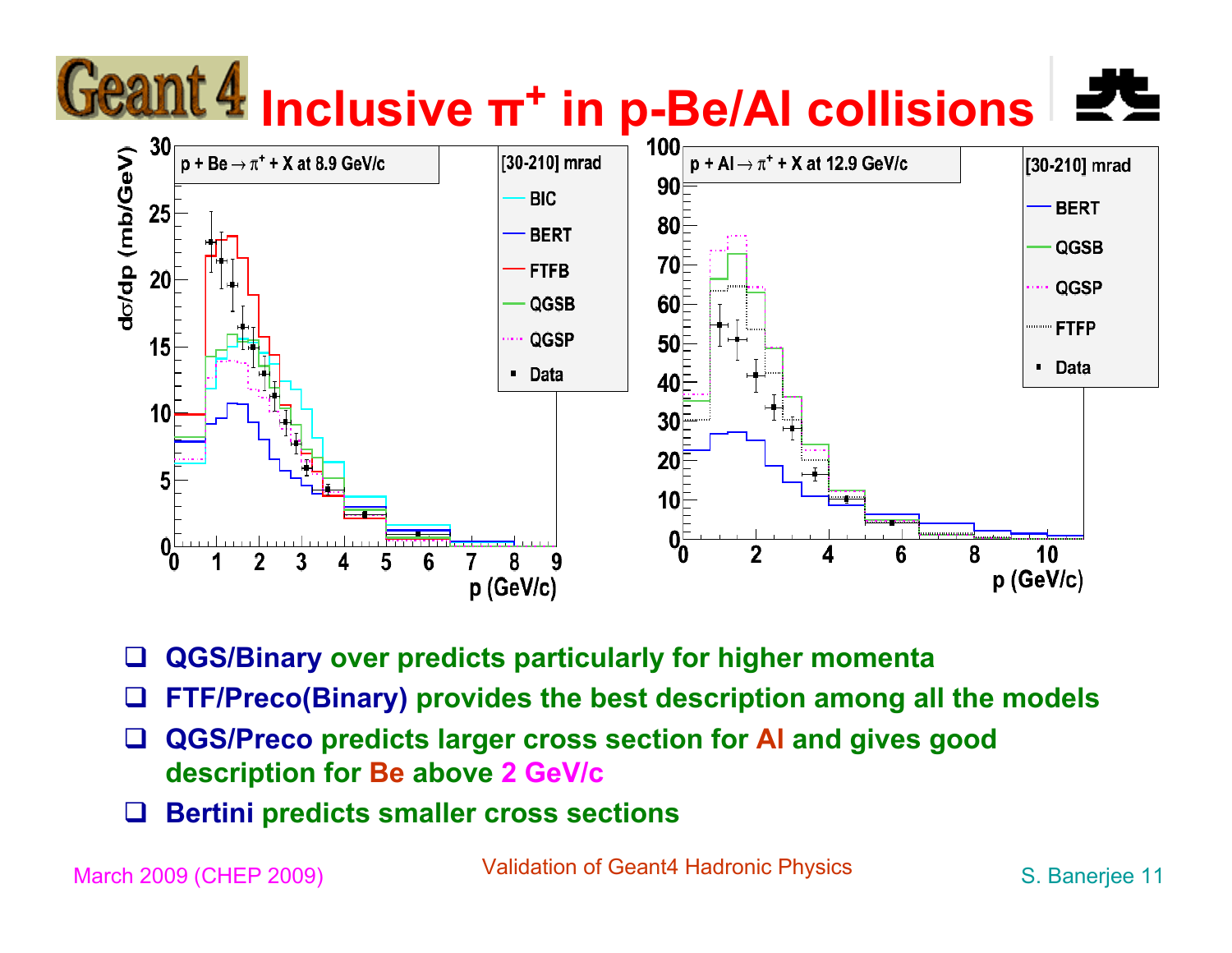

 $\Box$ **QGS/Binary over predicts particularly for higher momenta**

- $\Box$ **FTF/Preco(Binary) provides the best description among all the models**
- $\Box$  **QGS/Preco predicts larger cross section for Al and gives good description for Be above 2 GeV/c**
- $\Box$ **Bertini predicts smaller cross sections**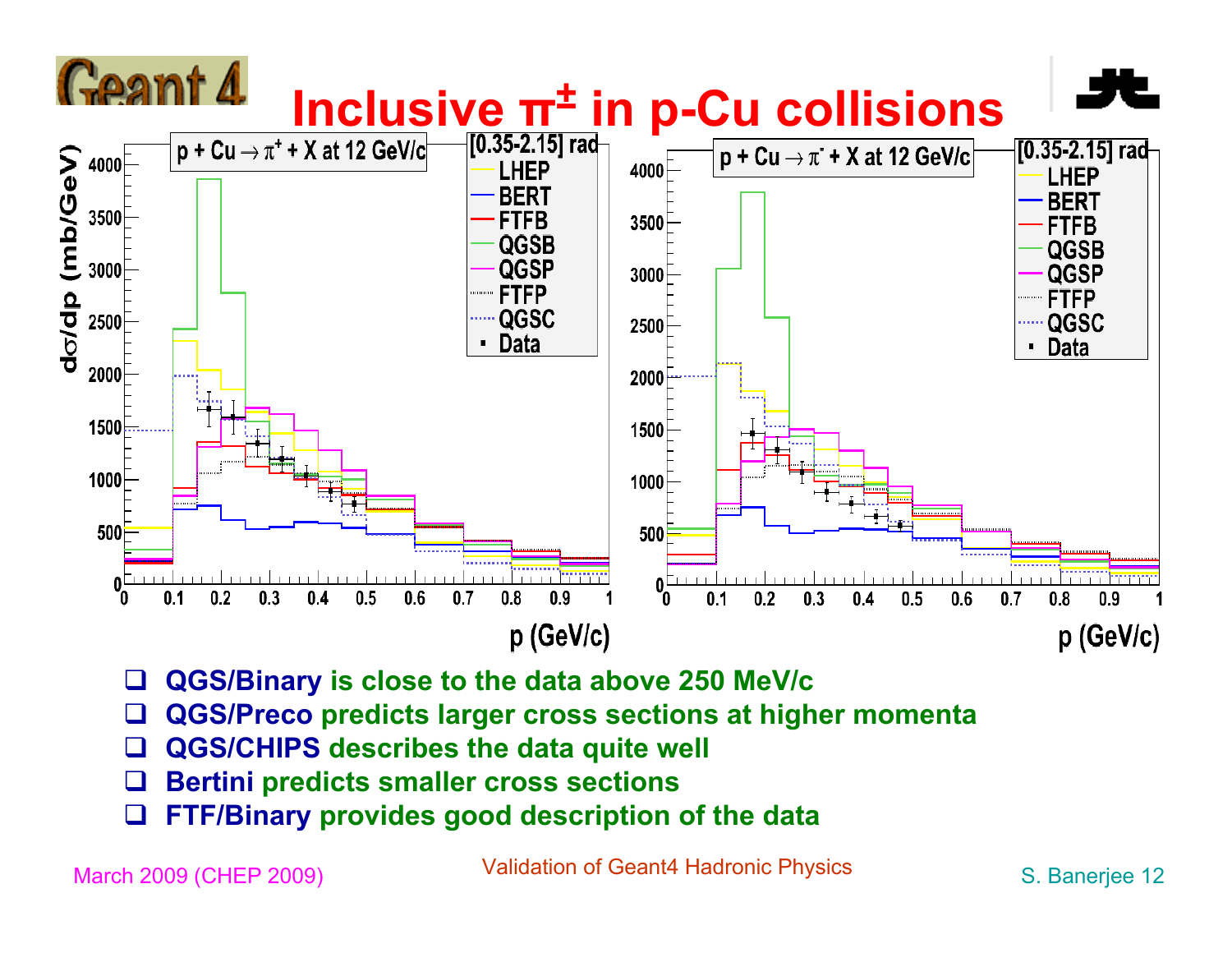

- $\Box$ **QGS/Binary is close to the data above 250 MeV/c**
- $\Box$ **QGS/Preco predicts larger cross sections at higher momenta**
- $\Box$ **QGS/CHIPS describes the data quite well**
- $\Box$ **Bertini predicts smaller cross sections**
- ⊔ **FTF/Binary provides good description of the data**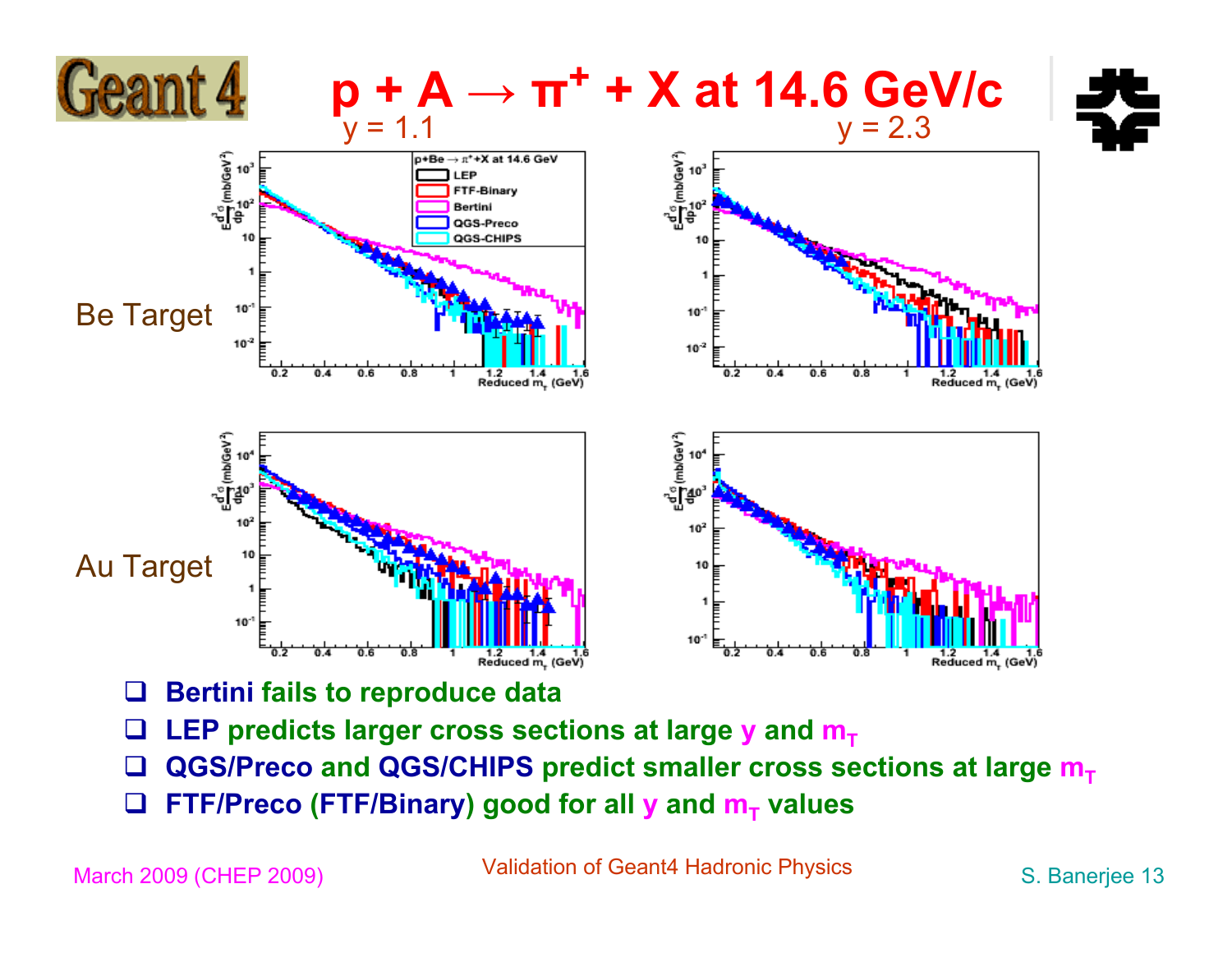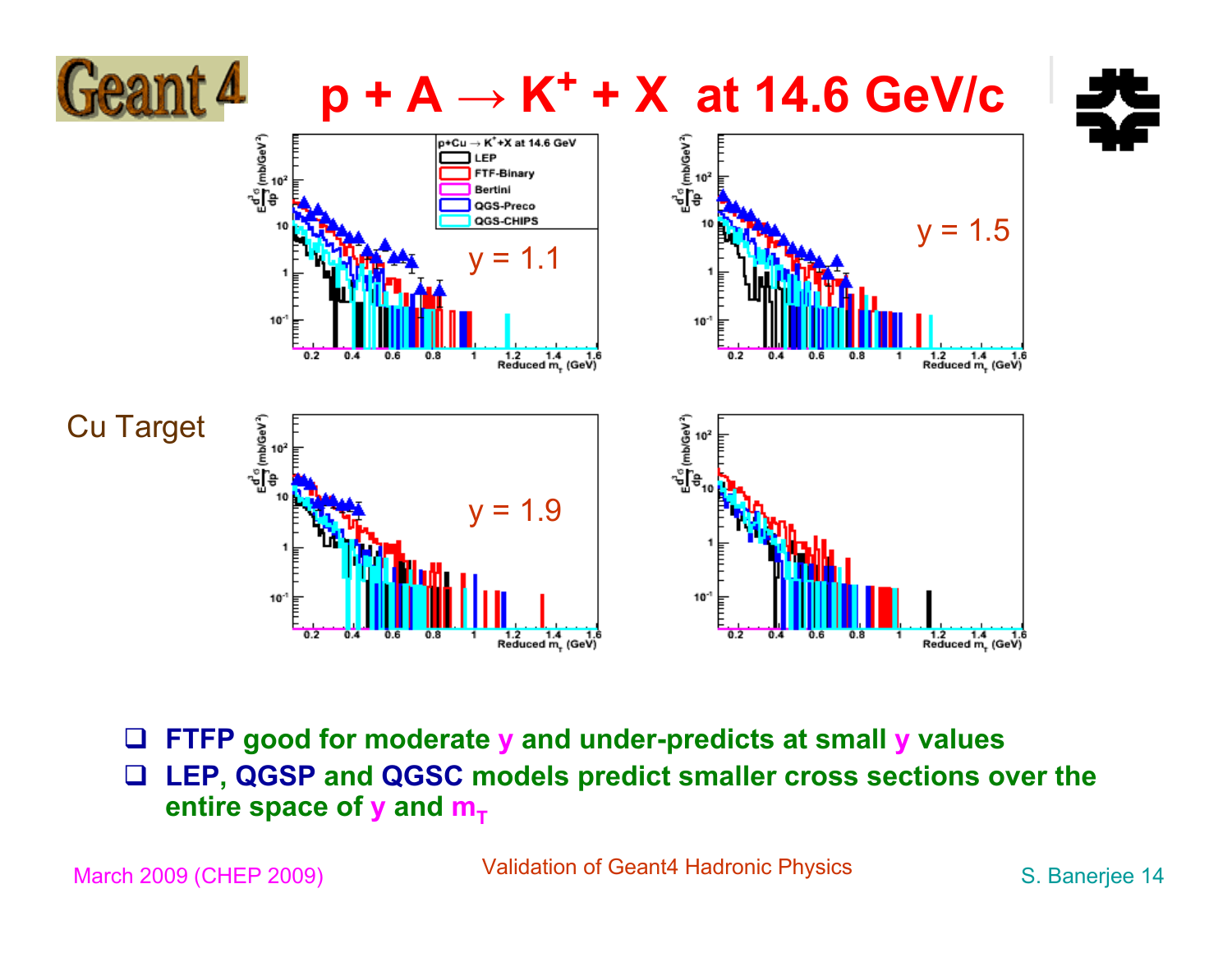

 $\Box$  **FTFP good for moderate y and under-predicts at small y values**  $\Box$  **LEP, QGSP and QGSC models predict smaller cross sections over the entire space of y and**  $m<sub>T</sub>$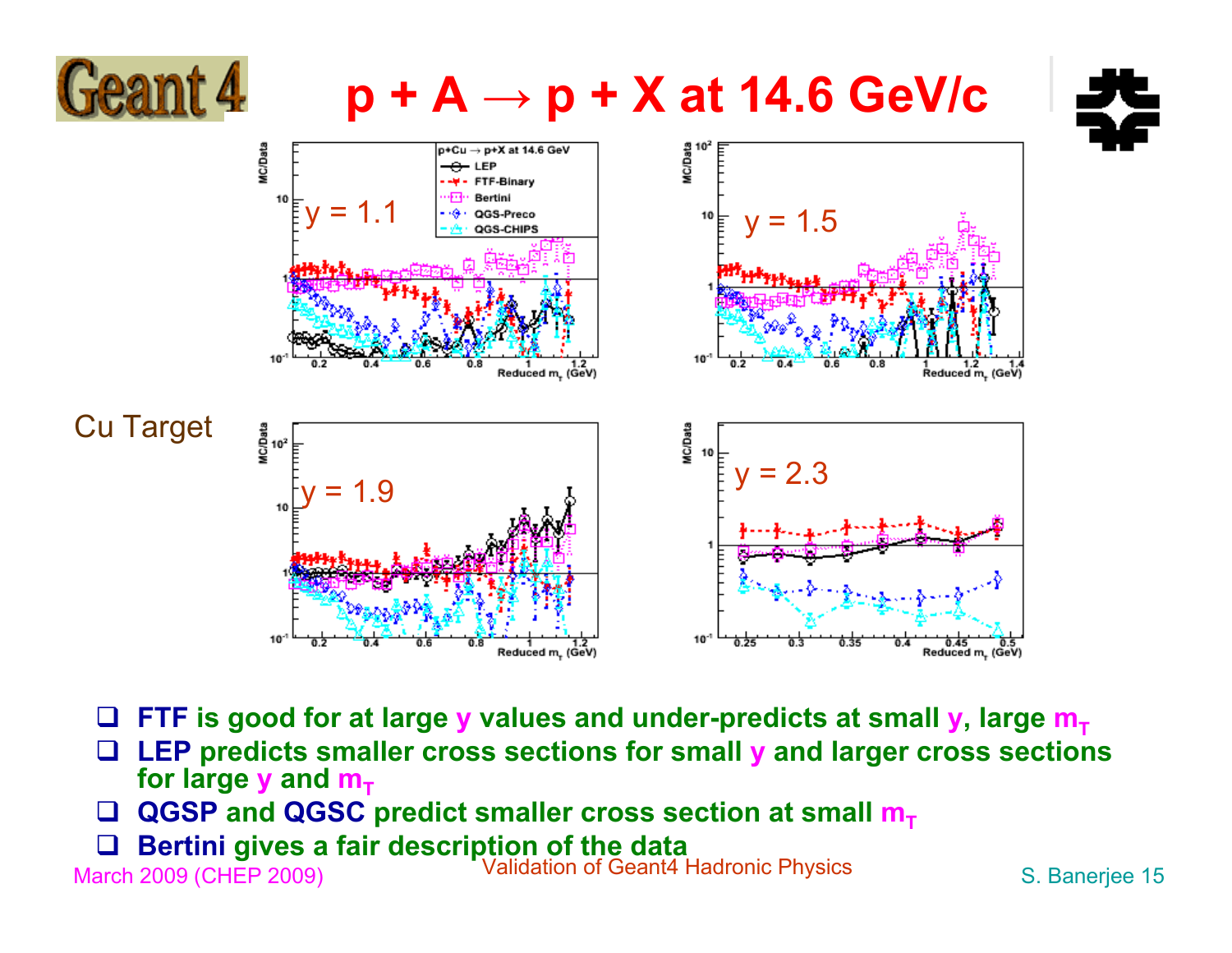

#### **p + A <sup>→</sup> p + X at 14.6 GeV/c**





- $\square$  FTF is good for at large **y** values and under-predicts at small **y**, large  $\mathbf{m}_{\mathsf{T}}$
- **LEP predicts smaller cross sections for small y and larger cross sections for large y and**  $m_{\tau}$
- **□ QGSP and QGSC predict smaller cross section at small m<sub>T</sub>**  $\Box$
- $\Box$ **Bertini gives a fair description of the data**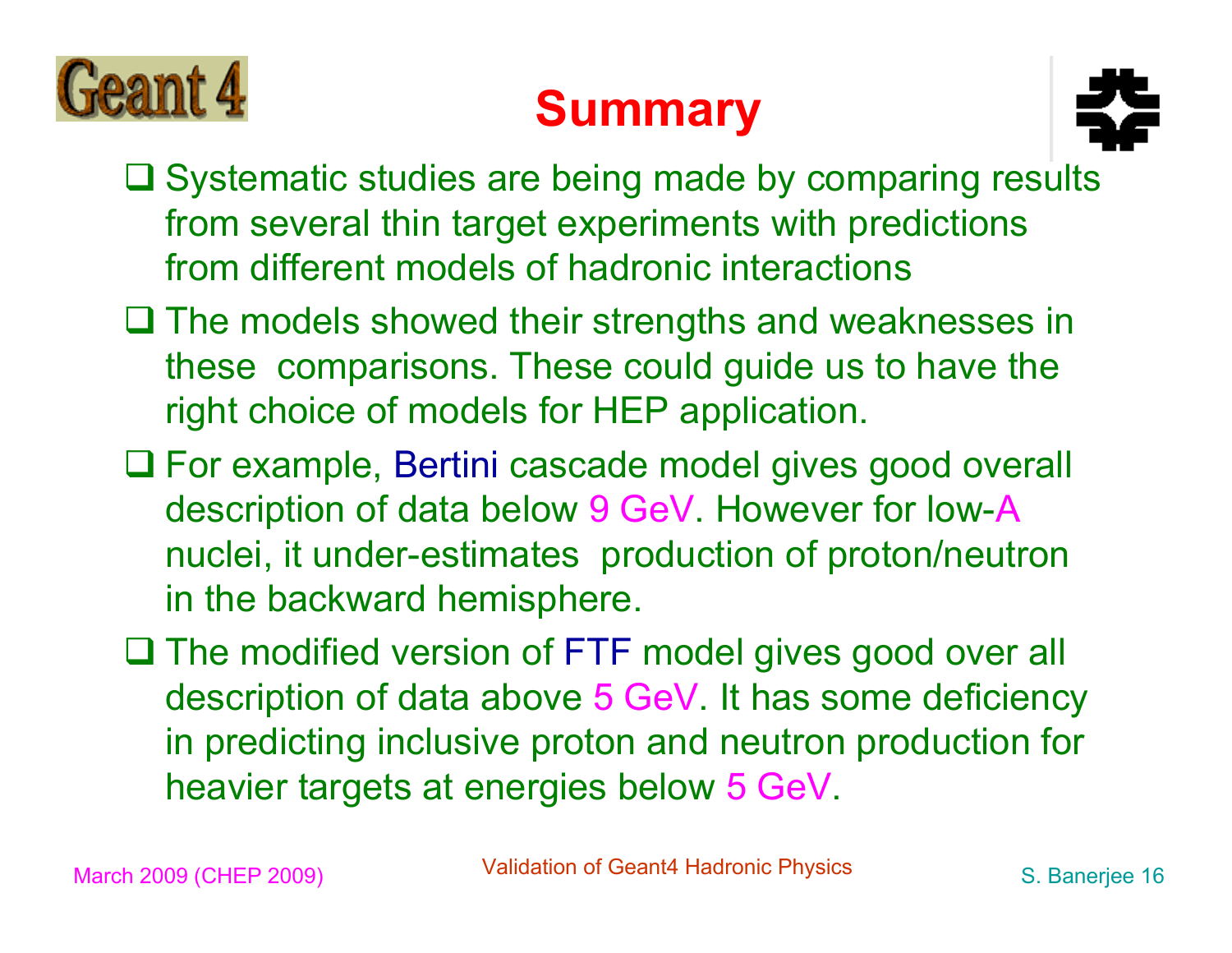

#### **Summary**



- $\square$  Systematic studies are being made by comparing results from several thin target experiments with predictions from different models of hadronic interactions
- $\square$  The models showed their strengths and weaknesses in these comparisons. These could guide us to have the right choice of models for HEP application.
- For example, Bertini cascade model gives good overall description of data below 9 GeV. However for low-A nuclei, it under-estimates production of proton/neutron in the backward hemisphere.
- □ The modified version of FTF model gives good over all description of data above 5 GeV. It has some deficiency in predicting inclusive proton and neutron production for heavier targets at energies below 5 GeV.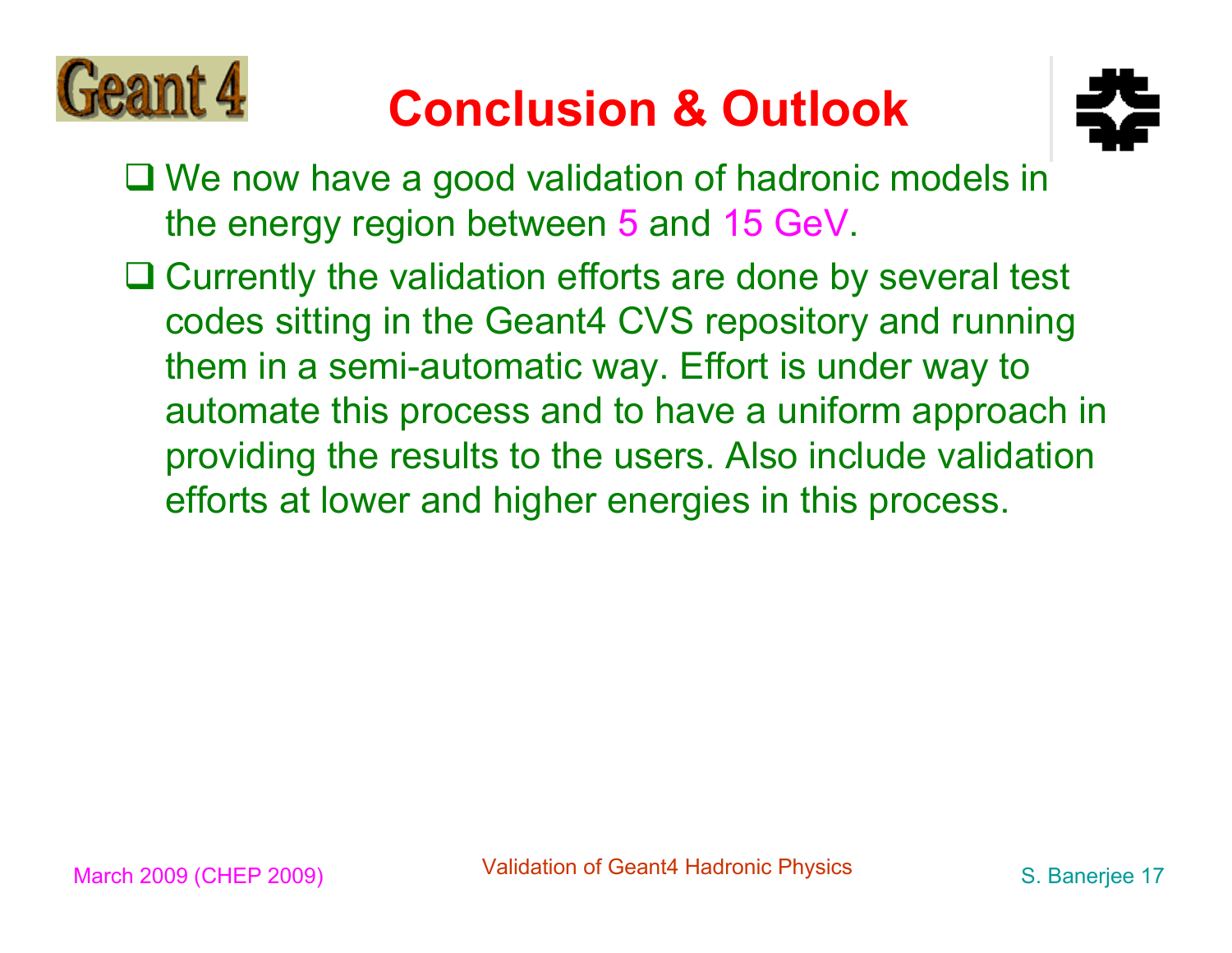

#### **Conclusion & Outlook**



- We now have a good validation of hadronic models in the energy region between 5 and 15 GeV.
- Currently the validation efforts are done by several test codes sitting in the Geant4 CVS repository and running them in a semi-automatic way. Effort is under way to automate this process and to have a uniform approach in providing the results to the users. Also include validation efforts at lower and higher energies in this process.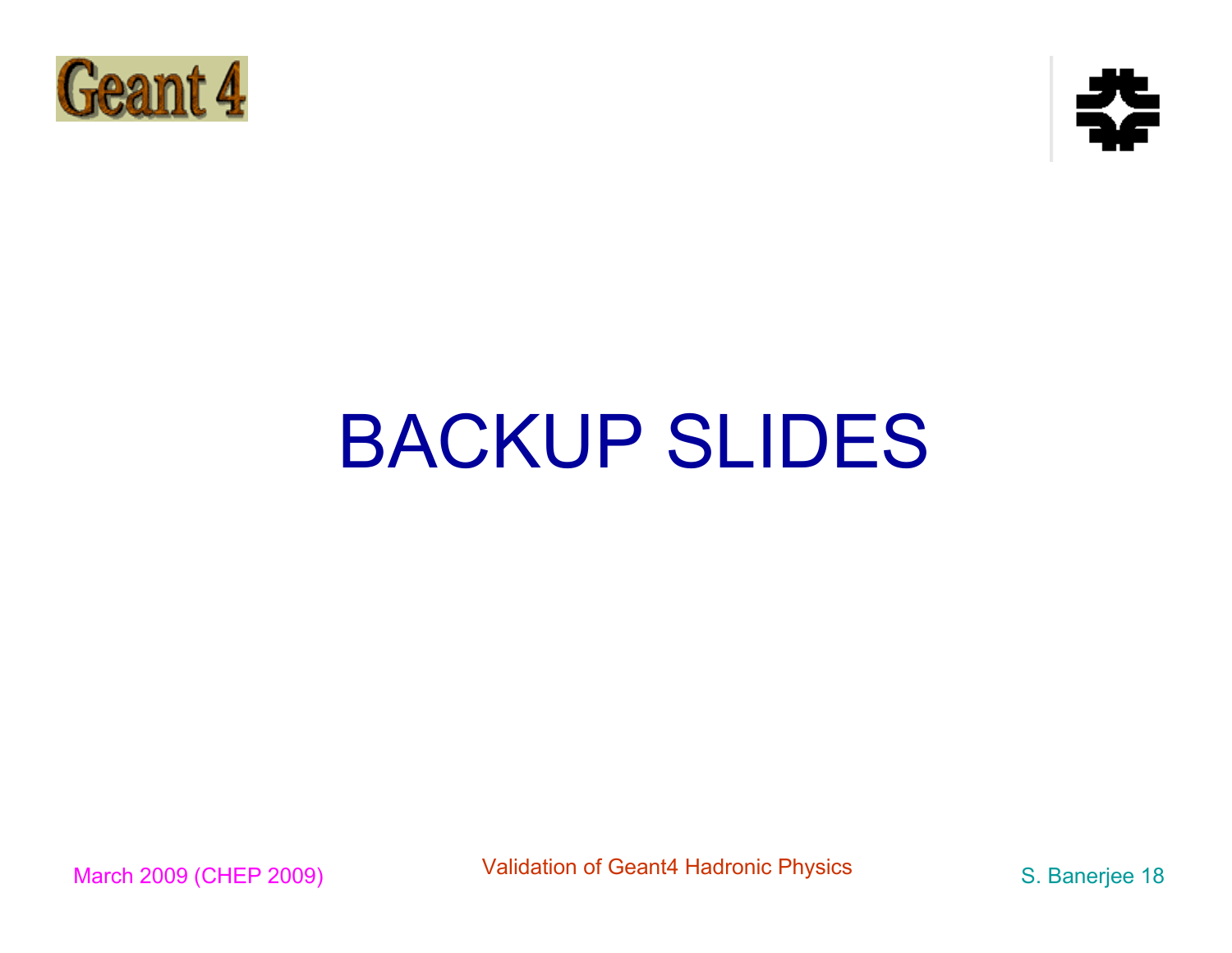



# BACKUP SLIDES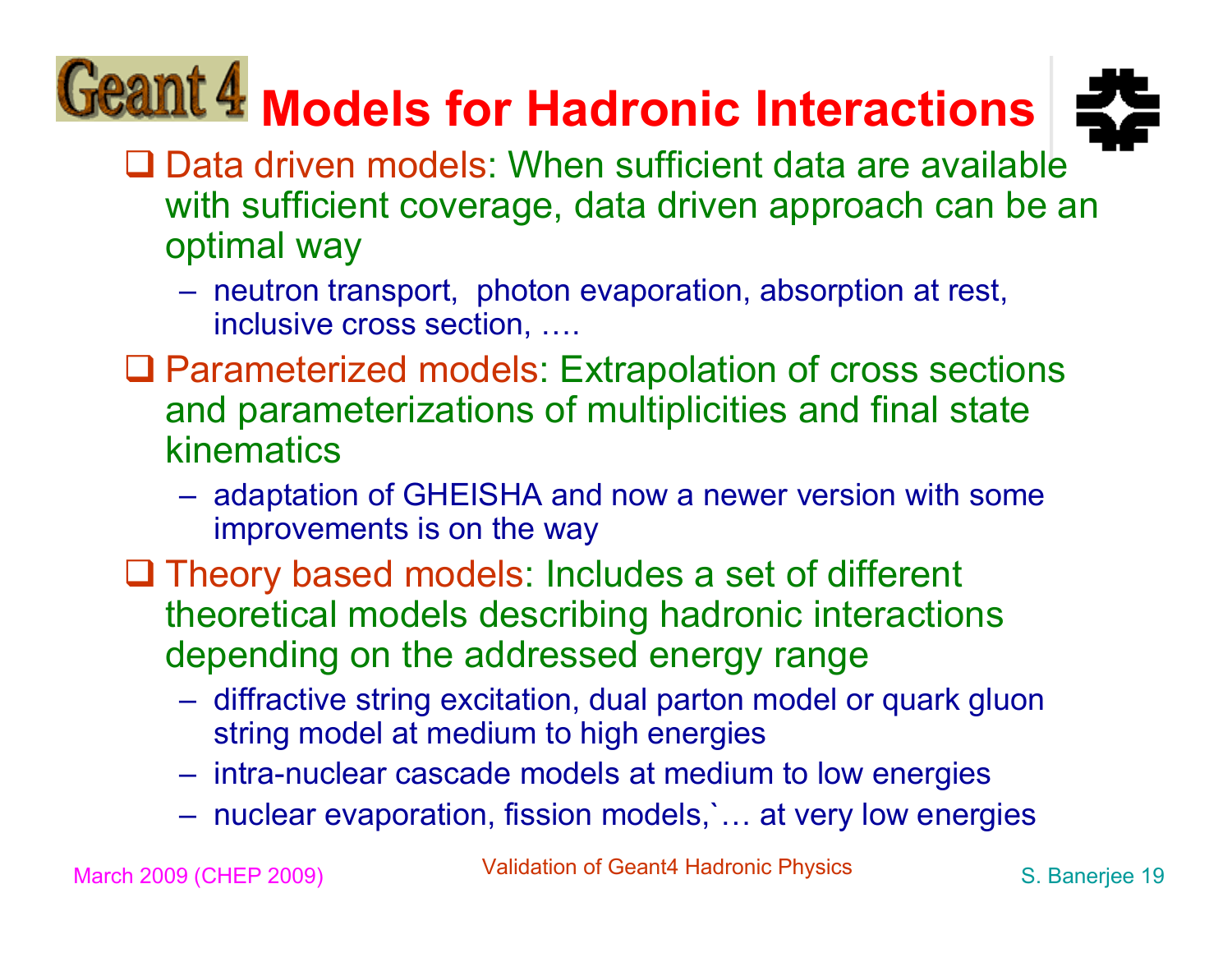## **Models for Hadronic Interactions**



- **□ Data driven models: When sufficient data are available** with sufficient coverage, data driven approach can be an optimal way
	- neutron transport, photon evaporation, absorption at rest, inclusive cross section, ….
- □ Parameterized models: Extrapolation of cross sections and parameterizations of multiplicities and final state kinematics
	- adaptation of GHEISHA and now a newer version with some improvements is on the way
- $\Box$  Theory based models: Includes a set of different theoretical models describing hadronic interactions depending on the addressed energy range
	- diffractive string excitation, dual parton model or quark gluon string model at medium to high energies
	- intra-nuclear cascade models at medium to low energies
	- nuclear evaporation, fission models,`… at very low energies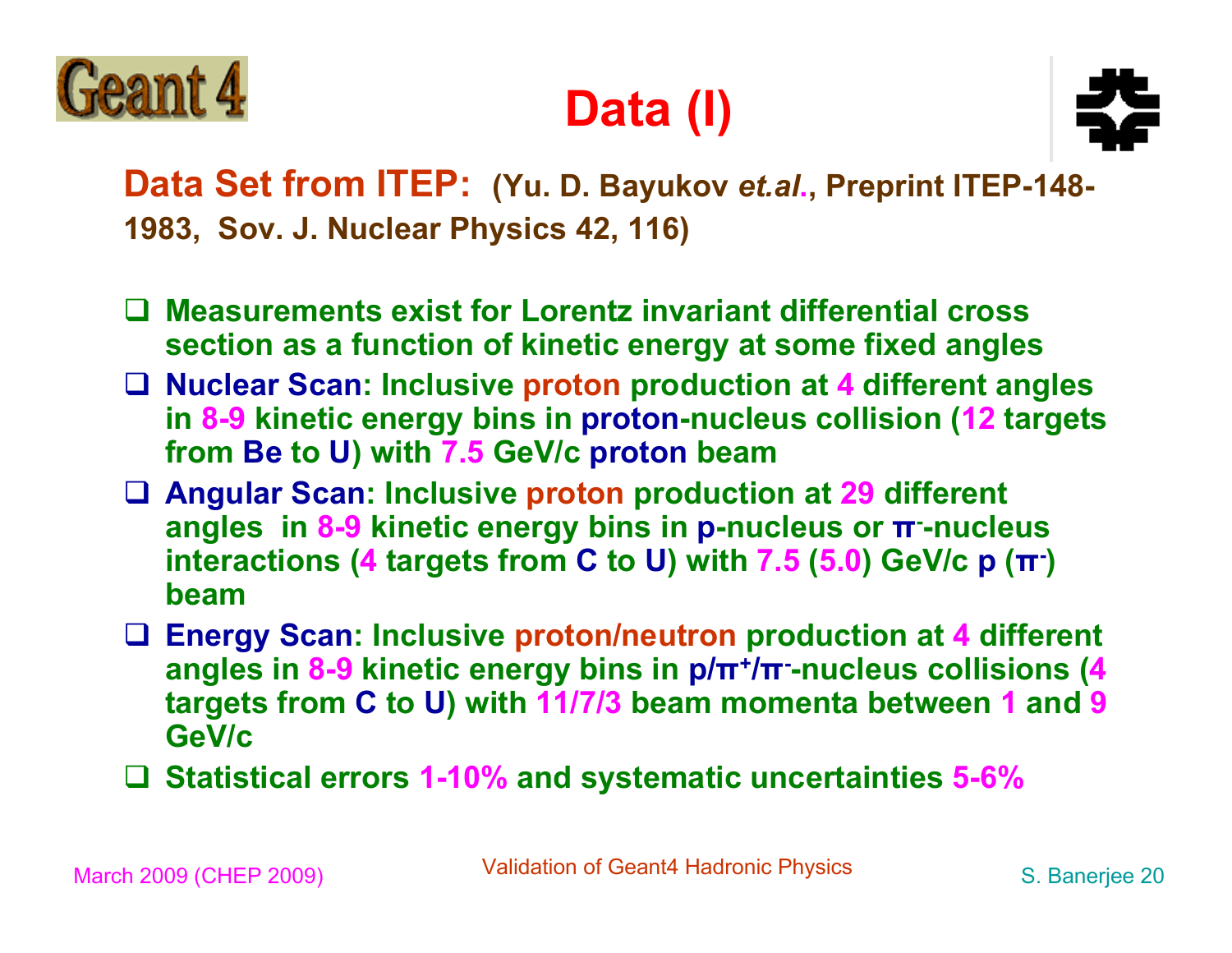

#### **Data (I)**



**Data Set from ITEP: (Yu. D. Bayukov** *et.al***., Preprint ITEP-148- 1983, Sov. J. Nuclear Physics 42, 116)**

- **Measurements exist for Lorentz invariant differential cross section as a function of kinetic energy at some fixed angles**
- **Nuclear Scan: Inclusive proton production at 4 different angles in 8-9 kinetic energy bins in proton-nucleus collision (12 targets from Be to U) with 7.5 GeV/c proton beam**
- **Angular Scan: Inclusive proton production at 29 different angles in 8-9 kinetic energy bins in p-nucleus or π--nucleus interactions (4 targets from C to U) with 7.5 (5.0) GeV/c p (π-) beam**
- **Energy Scan: Inclusive proton/neutron production at 4 different angles in 8-9 kinetic energy bins in p/π+/π--nucleus collisions (4 targets from C to U) with 11/7/3 beam momenta between 1 and 9 GeV/c**
- **Statistical errors 1-10% and systematic uncertainties 5-6%**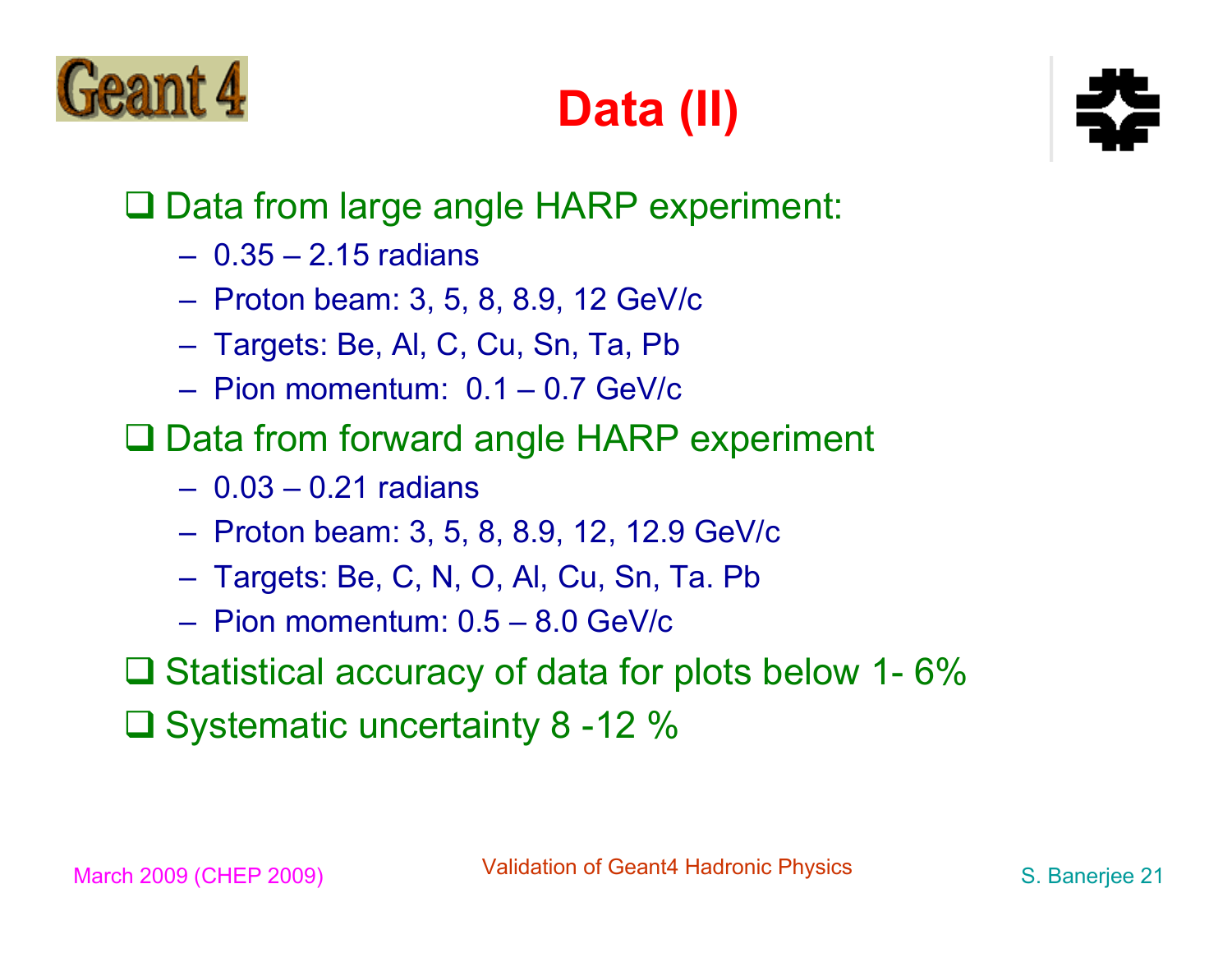

### **Data (II)**



#### □ Data from large angle HARP experiment:

- 0.35 2.15 radians
- Proton beam: 3, 5, 8, 8.9, 12 GeV/c
- Targets: Be, Al, C, Cu, Sn, Ta, Pb
- Pion momentum: 0.1 0.7 GeV/c
- □ Data from forward angle HARP experiment
	- 0.03 0.21 radians
	- Proton beam: 3, 5, 8, 8.9, 12, 12.9 GeV/c
	- Targets: Be, C, N, O, Al, Cu, Sn, Ta. Pb
	- Pion momentum: 0.5 8.0 GeV/c
- $\Box$  Statistical accuracy of data for plots below 1-6%
- □ Systematic uncertainty 8 -12 %